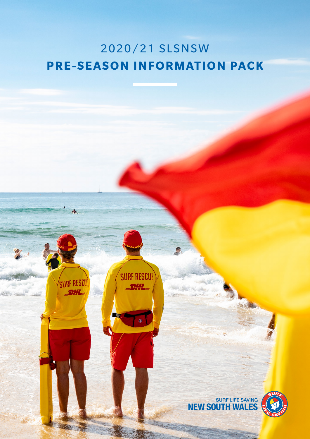## 2020/21 SLSNSW **PRE-SEASON INFORMATION PACK**

**SURF RESCUP** 

 $\overline{\mathbb{O}}$ 

SURF RESCUE

**DHL**